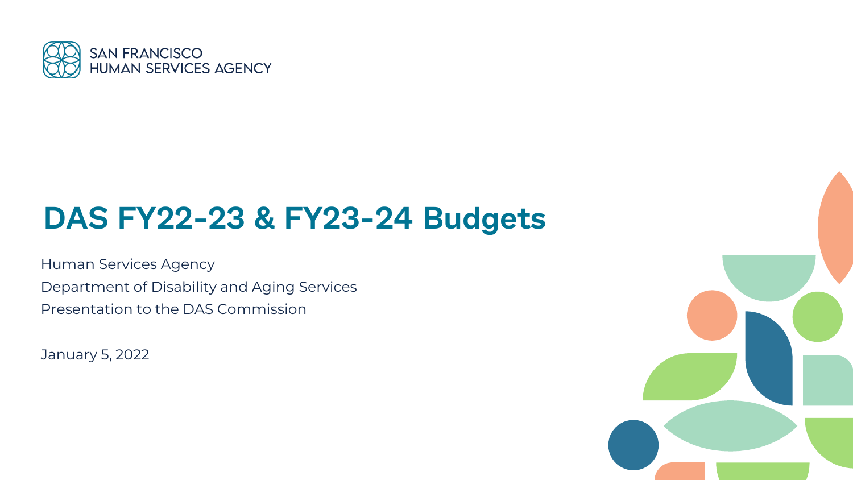

### **DAS FY22-23 & FY23-24 Budgets**

Human Services Agency Department of Disability and Aging Services Presentation to the DAS Commission

January 5, 2022

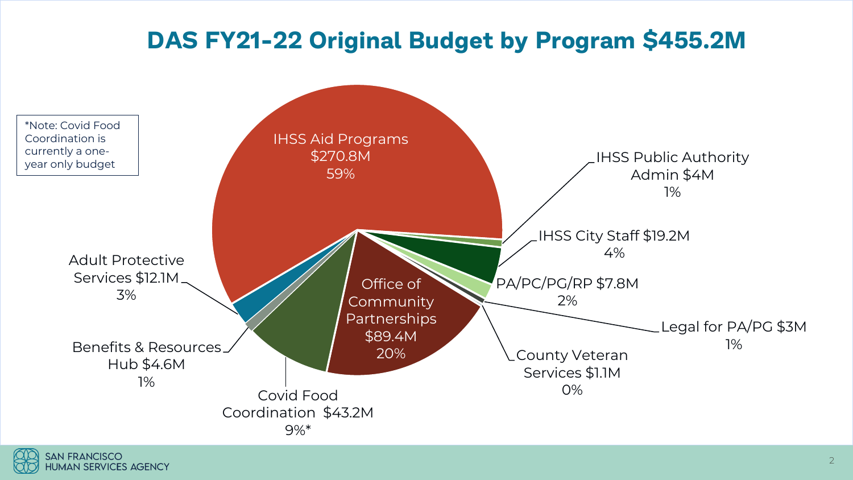### **DAS FY21-22 Original Budget by Program \$455.2M**



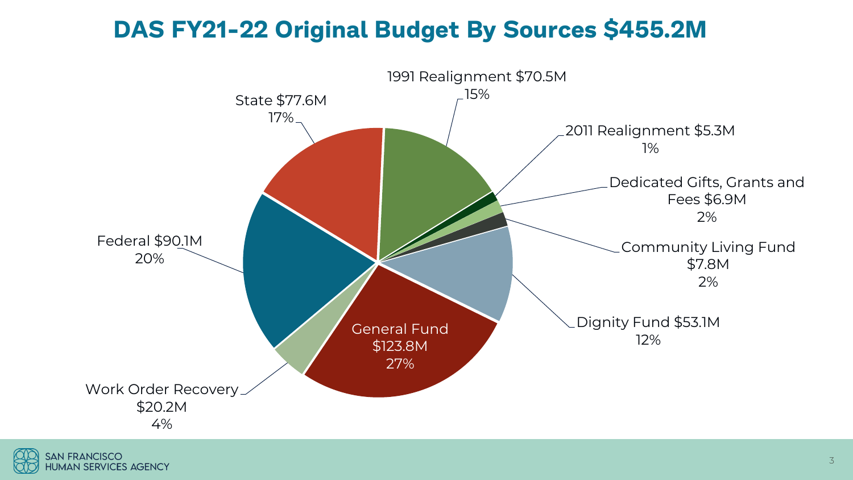### **DAS FY21-22 Original Budget By Sources \$455.2M**



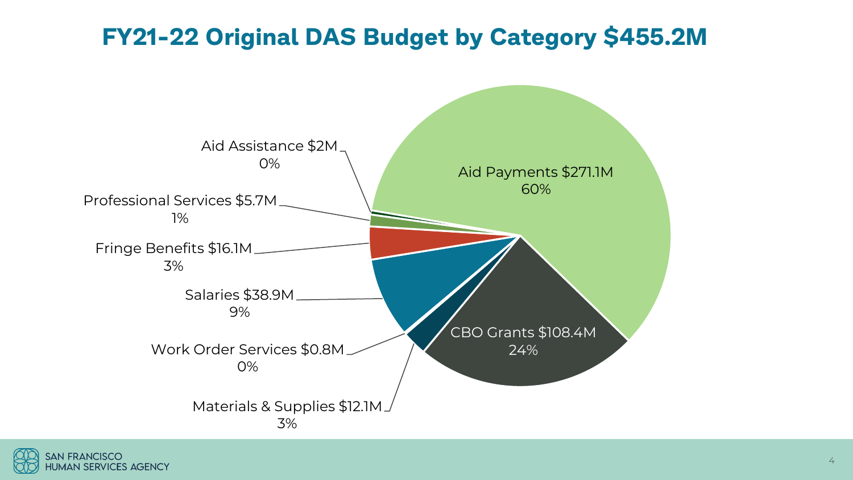### **FY21-22 Original DAS Budget by Category \$455.2M**



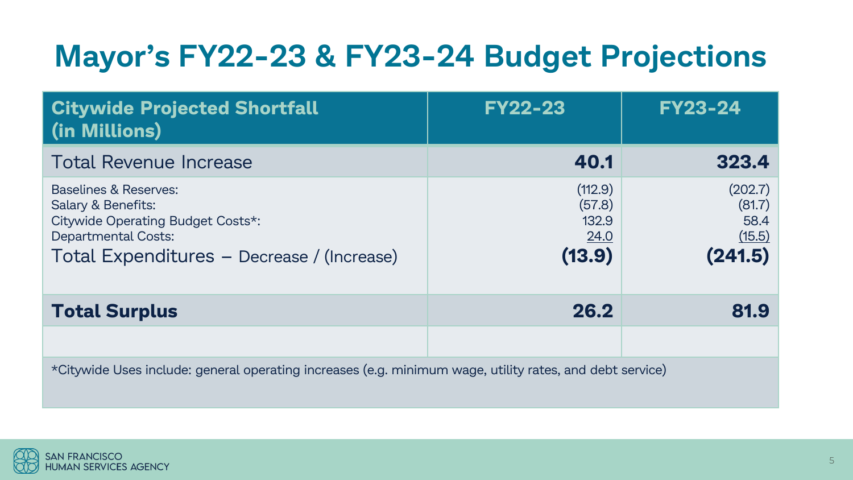# **Mayor's FY22-23 & FY23-24 Budget Projections**

| <b>Citywide Projected Shortfall</b><br>(in Millions)                                                                                                         | <b>FY22-23</b>                               | <b>FY23-24</b>                                 |  |  |
|--------------------------------------------------------------------------------------------------------------------------------------------------------------|----------------------------------------------|------------------------------------------------|--|--|
| <b>Total Revenue Increase</b>                                                                                                                                | 40.1                                         | 323.4                                          |  |  |
| Baselines & Reserves:<br>Salary & Benefits:<br>Citywide Operating Budget Costs*:<br><b>Departmental Costs:</b><br>Total Expenditures - Decrease / (Increase) | (112.9)<br>(57.8)<br>132.9<br>24.0<br>(13.9) | (202.7)<br>(81.7)<br>58.4<br>(15.5)<br>(241.5) |  |  |
| <b>Total Surplus</b>                                                                                                                                         | 26.2                                         | 81.9                                           |  |  |
|                                                                                                                                                              |                                              |                                                |  |  |
| *Citywide Uses include: general operating increases (e.g. minimum wage, utility rates, and debt service)                                                     |                                              |                                                |  |  |

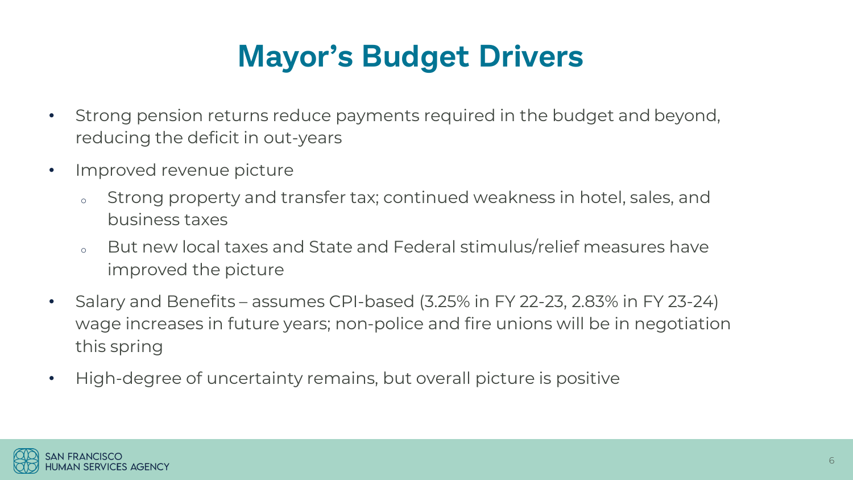# **Mayor's Budget Drivers**

- Strong pension returns reduce payments required in the budget and beyond, reducing the deficit in out-years
- Improved revenue picture
	- Strong property and transfer tax; continued weakness in hotel, sales, and business taxes
	- But new local taxes and State and Federal stimulus/relief measures have improved the picture
- Salary and Benefits assumes CPI-based (3.25% in FY 22-23, 2.83% in FY 23-24) wage increases in future years; non-police and fire unions will be in negotiation this spring
- High-degree of uncertainty remains, but overall picture is positive

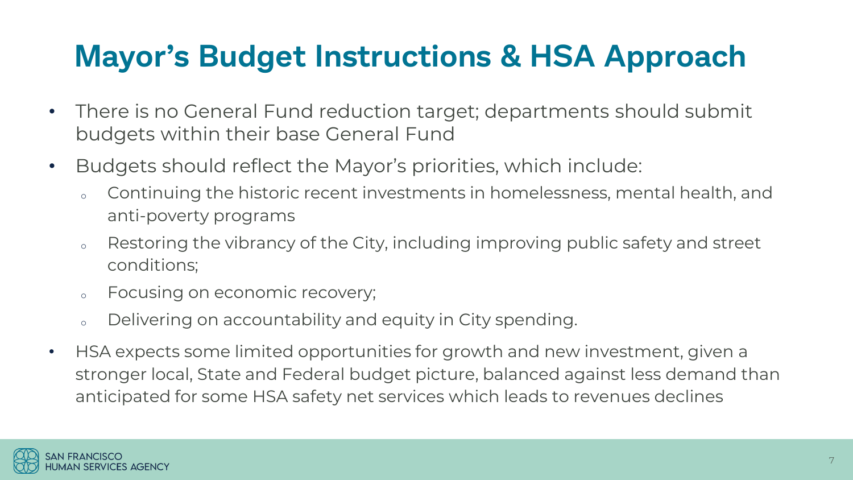## **Mayor's Budget Instructions & HSA Approach**

- There is no General Fund reduction target; departments should submit budgets within their base General Fund
- Budgets should reflect the Mayor's priorities, which include:
	- o Continuing the historic recent investments in homelessness, mental health, and anti-poverty programs
	- o Restoring the vibrancy of the City, including improving public safety and street conditions;
	- o Focusing on economic recovery;
	- o Delivering on accountability and equity in City spending.
- HSA expects some limited opportunities for growth and new investment, given a stronger local, State and Federal budget picture, balanced against less demand than anticipated for some HSA safety net services which leads to revenues declines

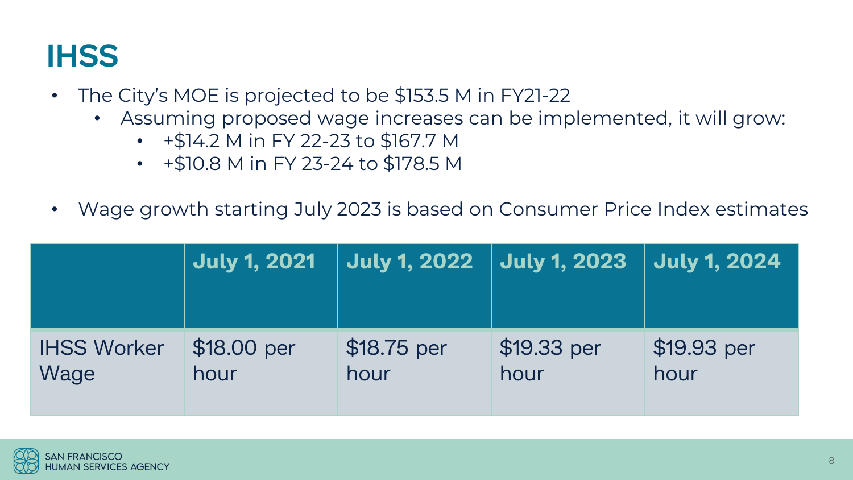## **IHSS**

- The City's MOE is projected to be \$153.5 M in FY21-22
	- Assuming proposed wage increases can be implemented, it will grow:
		- +\$14.2 M in FY 22-23 to \$167.7 M
		- +\$10.8 M in FY 23-24 to \$178.5 M
- Wage growth starting July 2023 is based on Consumer Price Index estimates

|                    | <b>July 1, 2021</b> | July 1, 2022 | <b>July 1, 2023</b> | <b>July 1, 2024</b> |
|--------------------|---------------------|--------------|---------------------|---------------------|
| <b>IHSS Worker</b> | \$18.00 per         | \$18.75 per  | \$19.33 per         | \$19.93 per         |
| Wage               | hour                | hour         | hour                | hour                |

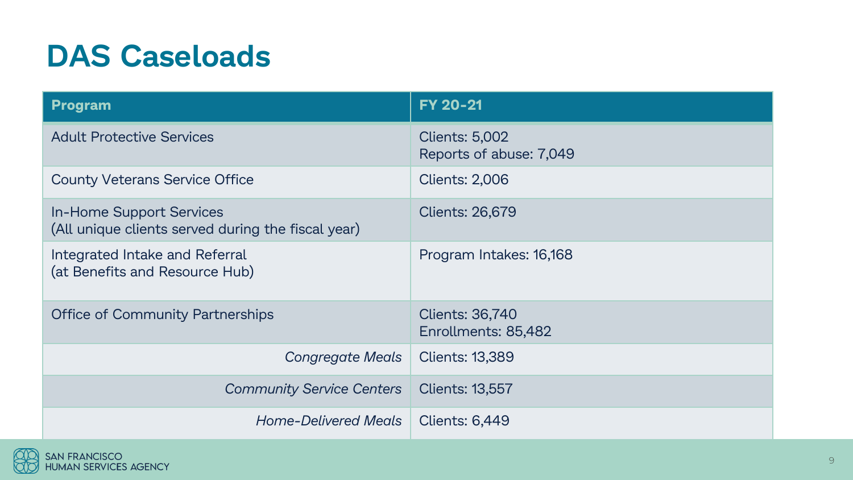## **DAS Caseloads**

| <b>Program</b>                                                                        | <b>FY 20-21</b>                                  |
|---------------------------------------------------------------------------------------|--------------------------------------------------|
| <b>Adult Protective Services</b>                                                      | <b>Clients: 5,002</b><br>Reports of abuse: 7,049 |
| <b>County Veterans Service Office</b>                                                 | <b>Clients: 2,006</b>                            |
| <b>In-Home Support Services</b><br>(All unique clients served during the fiscal year) | <b>Clients: 26,679</b>                           |
| Integrated Intake and Referral<br>(at Benefits and Resource Hub)                      | Program Intakes: 16,168                          |
| <b>Office of Community Partnerships</b>                                               | <b>Clients: 36,740</b><br>Enrollments: 85,482    |
| Congregate Meals                                                                      | <b>Clients: 13,389</b>                           |
| <b>Community Service Centers</b>                                                      | <b>Clients: 13,557</b>                           |
| Home-Delivered Meals                                                                  | <b>Clients: 6,449</b>                            |

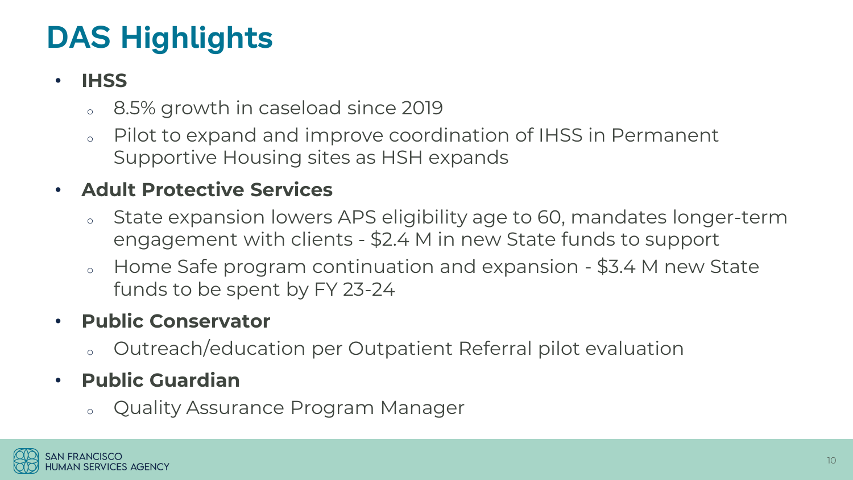# **DAS Highlights**

#### • **IHSS**

- <sup>o</sup> 8.5% growth in caseload since 2019
- Pilot to expand and improve coordination of IHSS in Permanent Supportive Housing sites as HSH expands

#### • **Adult Protective Services**

- o State expansion lowers APS eligibility age to 60, mandates longer-term engagement with clients - \$2.4 M in new State funds to support
- o Home Safe program continuation and expansion \$3.4 M new State funds to be spent by FY 23-24

#### • **Public Conservator**

<sup>o</sup> Outreach/education per Outpatient Referral pilot evaluation

#### • **Public Guardian**

<sup>o</sup> Quality Assurance Program Manager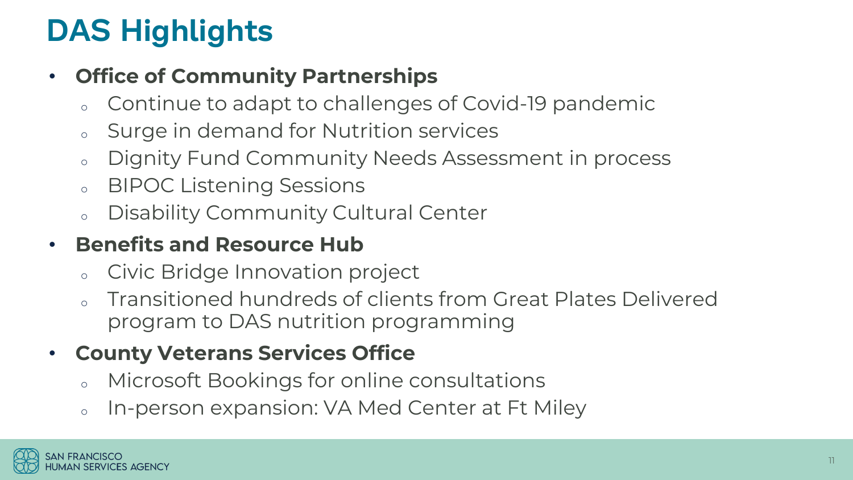# **DAS Highlights**

#### • **Office of Community Partnerships**

- Continue to adapt to challenges of Covid-19 pandemic
- Surge in demand for Nutrition services
- <sup>o</sup> Dignity Fund Community Needs Assessment in process
- <sup>o</sup> BIPOC Listening Sessions
- Disability Community Cultural Center

#### • **Benefits and Resource Hub**

- <sup>o</sup> Civic Bridge Innovation project
- Transitioned hundreds of clients from Great Plates Delivered program to DAS nutrition programming

### • **County Veterans Services Office**

- Microsoft Bookings for online consultations
- o In-person expansion: VA Med Center at Ft Miley